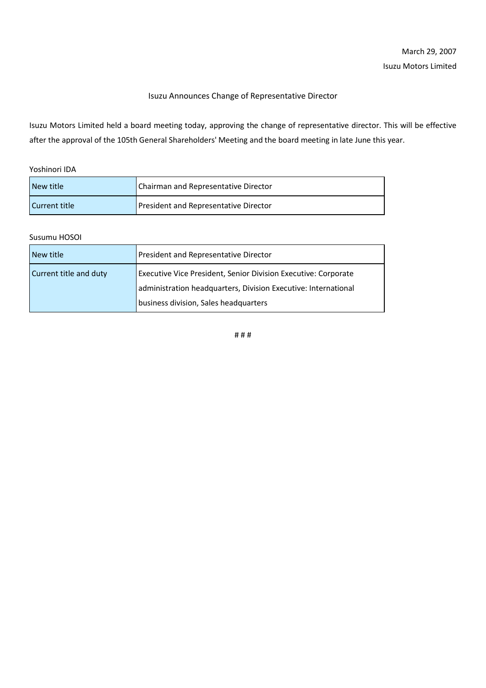## Isuzu Announces Change of Representative Director

Isuzu Motors Limited held a board meeting today, approving the change of representative director. This will be effective after the approval of the 105th General Shareholders' Meeting and the board meeting in late June this year.

Yoshinori IDA

| l New title   | Chairman and Representative Director  |
|---------------|---------------------------------------|
| Current title | President and Representative Director |

## Susumu HOSOI

| New title              | President and Representative Director                          |
|------------------------|----------------------------------------------------------------|
| Current title and duty | Executive Vice President, Senior Division Executive: Corporate |
|                        | administration headquarters, Division Executive: International |
|                        | business division, Sales headquarters                          |

# # #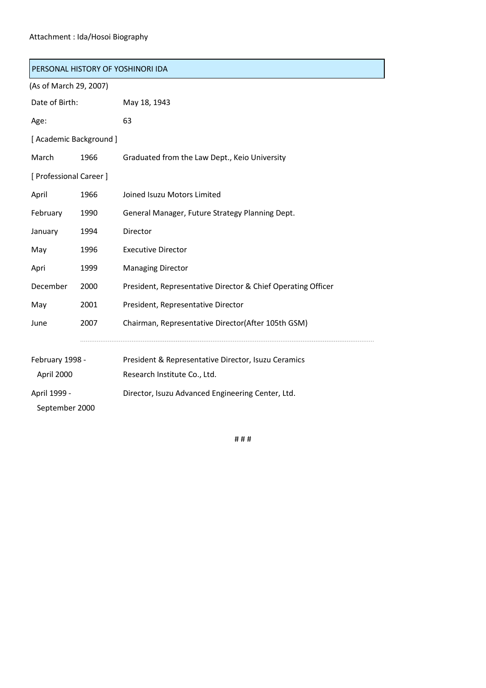## Attachment : Ida/Hosoi Biography

September 2000

| PERSONAL HISTORY OF YOSHINORI IDA |      |                                                              |  |  |
|-----------------------------------|------|--------------------------------------------------------------|--|--|
| (As of March 29, 2007)            |      |                                                              |  |  |
| Date of Birth:                    |      | May 18, 1943                                                 |  |  |
| Age:                              |      | 63                                                           |  |  |
| [ Academic Background ]           |      |                                                              |  |  |
| March                             | 1966 | Graduated from the Law Dept., Keio University                |  |  |
| [ Professional Career ]           |      |                                                              |  |  |
| April                             | 1966 | Joined Isuzu Motors Limited                                  |  |  |
| February                          | 1990 | General Manager, Future Strategy Planning Dept.              |  |  |
| January                           | 1994 | Director                                                     |  |  |
| May                               | 1996 | <b>Executive Director</b>                                    |  |  |
| Apri                              | 1999 | <b>Managing Director</b>                                     |  |  |
| December                          | 2000 | President, Representative Director & Chief Operating Officer |  |  |
| May                               | 2001 | President, Representative Director                           |  |  |
| June                              | 2007 | Chairman, Representative Director(After 105th GSM)           |  |  |
|                                   |      |                                                              |  |  |
| February 1998 -                   |      | President & Representative Director, Isuzu Ceramics          |  |  |
| April 2000                        |      | Research Institute Co., Ltd.                                 |  |  |
| April 1999 -                      |      | Director, Isuzu Advanced Engineering Center, Ltd.            |  |  |

# # #